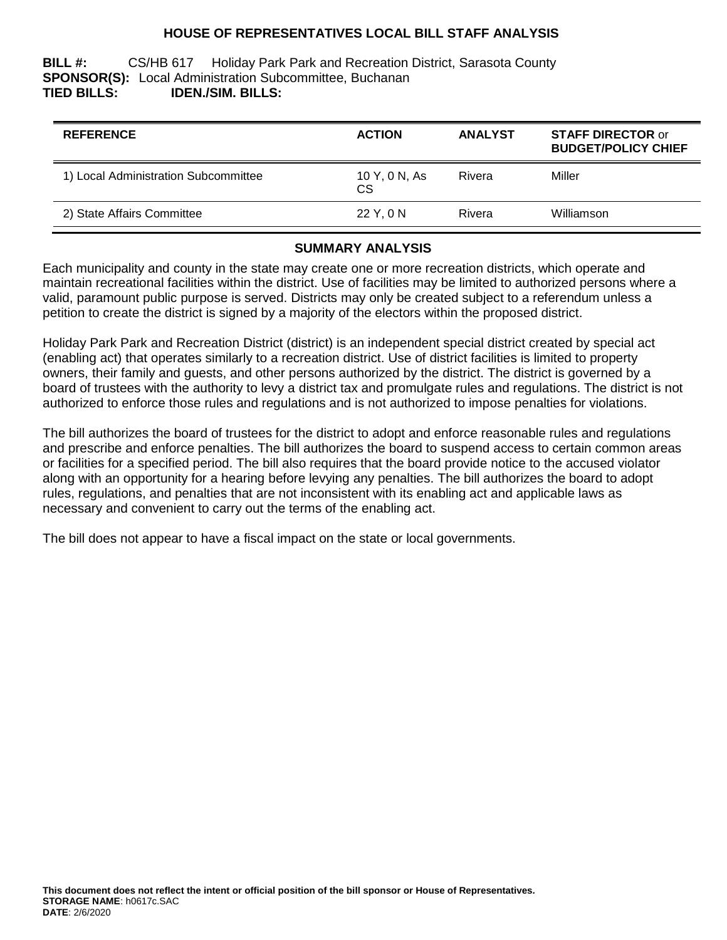## **HOUSE OF REPRESENTATIVES LOCAL BILL STAFF ANALYSIS**

**BILL #:** CS/HB 617 Holiday Park Park and Recreation District, Sarasota County **SPONSOR(S):** Local Administration Subcommittee, Buchanan **TIED BILLS: IDEN./SIM. BILLS:**

| <b>REFERENCE</b>                     | <b>ACTION</b>       | <b>ANALYST</b> | <b>STAFF DIRECTOR or</b><br><b>BUDGET/POLICY CHIEF</b> |
|--------------------------------------|---------------------|----------------|--------------------------------------------------------|
| 1) Local Administration Subcommittee | 10 Y, 0 N, As<br>CS | Rivera         | Miller                                                 |
| 2) State Affairs Committee           | 22 Y. 0 N           | Rivera         | Williamson                                             |

#### **SUMMARY ANALYSIS**

Each municipality and county in the state may create one or more recreation districts, which operate and maintain recreational facilities within the district. Use of facilities may be limited to authorized persons where a valid, paramount public purpose is served. Districts may only be created subject to a referendum unless a petition to create the district is signed by a majority of the electors within the proposed district.

Holiday Park Park and Recreation District (district) is an independent special district created by special act (enabling act) that operates similarly to a recreation district. Use of district facilities is limited to property owners, their family and guests, and other persons authorized by the district. The district is governed by a board of trustees with the authority to levy a district tax and promulgate rules and regulations. The district is not authorized to enforce those rules and regulations and is not authorized to impose penalties for violations.

The bill authorizes the board of trustees for the district to adopt and enforce reasonable rules and regulations and prescribe and enforce penalties. The bill authorizes the board to suspend access to certain common areas or facilities for a specified period. The bill also requires that the board provide notice to the accused violator along with an opportunity for a hearing before levying any penalties. The bill authorizes the board to adopt rules, regulations, and penalties that are not inconsistent with its enabling act and applicable laws as necessary and convenient to carry out the terms of the enabling act.

The bill does not appear to have a fiscal impact on the state or local governments.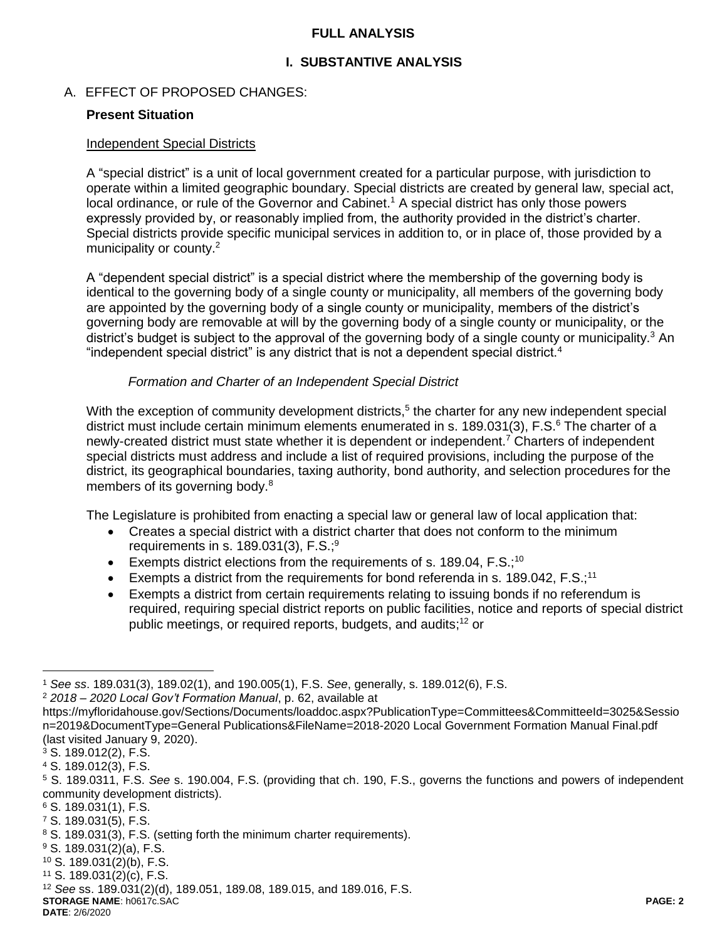## **FULL ANALYSIS**

# **I. SUBSTANTIVE ANALYSIS**

### A. EFFECT OF PROPOSED CHANGES:

#### **Present Situation**

#### Independent Special Districts

A "special district" is a unit of local government created for a particular purpose, with jurisdiction to operate within a limited geographic boundary. Special districts are created by general law, special act, local ordinance, or rule of the Governor and Cabinet.<sup>1</sup> A special district has only those powers expressly provided by, or reasonably implied from, the authority provided in the district's charter. Special districts provide specific municipal services in addition to, or in place of, those provided by a municipality or county.<sup>2</sup>

A "dependent special district" is a special district where the membership of the governing body is identical to the governing body of a single county or municipality, all members of the governing body are appointed by the governing body of a single county or municipality, members of the district's governing body are removable at will by the governing body of a single county or municipality, or the district's budget is subject to the approval of the governing body of a single county or municipality.<sup>3</sup> An "independent special district" is any district that is not a dependent special district.<sup>4</sup>

#### *Formation and Charter of an Independent Special District*

With the exception of community development districts,<sup>5</sup> the charter for any new independent special district must include certain minimum elements enumerated in s. 189.031(3), F.S.<sup>6</sup> The charter of a newly-created district must state whether it is dependent or independent.<sup>7</sup> Charters of independent special districts must address and include a list of required provisions, including the purpose of the district, its geographical boundaries, taxing authority, bond authority, and selection procedures for the members of its governing body.<sup>8</sup>

The Legislature is prohibited from enacting a special law or general law of local application that:

- Creates a special district with a district charter that does not conform to the minimum requirements in s.  $189.031(3)$ , F.S.;<sup>9</sup>
- Exempts district elections from the requirements of s. 189.04,  $F.S.^{10}$
- Exempts a district from the requirements for bond referenda in s. 189.042,  $F.S.^{11}$
- Exempts a district from certain requirements relating to issuing bonds if no referendum is required, requiring special district reports on public facilities, notice and reports of special district public meetings, or required reports, budgets, and audits; <sup>12</sup> or

 $\overline{a}$ 

**STORAGE NAME**: h0617c.SAC **PAGE: 2**

<sup>1</sup> *See ss*. 189.031(3), 189.02(1), and 190.005(1), F.S. *See*, generally, s. 189.012(6), F.S.

<sup>2</sup> *2018 – 2020 Local Gov't Formation Manual*, p. 62, available at

https://myfloridahouse.gov/Sections/Documents/loaddoc.aspx?PublicationType=Committees&CommitteeId=3025&Sessio n=2019&DocumentType=General Publications&FileName=2018-2020 Local Government Formation Manual Final.pdf (last visited January 9, 2020).

<sup>3</sup> S. 189.012(2), F.S.

<sup>4</sup> S. 189.012(3), F.S.

<sup>5</sup> S. 189.0311, F.S. *See* s. 190.004, F.S. (providing that ch. 190, F.S., governs the functions and powers of independent community development districts).

<sup>6</sup> S. 189.031(1), F.S.

<sup>7</sup> S. 189.031(5), F.S.

<sup>8</sup> S. 189.031(3), F.S. (setting forth the minimum charter requirements).

 $9$  S. 189.031(2)(a), F.S.

<sup>10</sup> S. 189.031(2)(b), F.S.

<sup>11</sup> S. 189.031(2)(c), F.S.

<sup>12</sup> *See* ss. 189.031(2)(d), 189.051, 189.08, 189.015, and 189.016, F.S.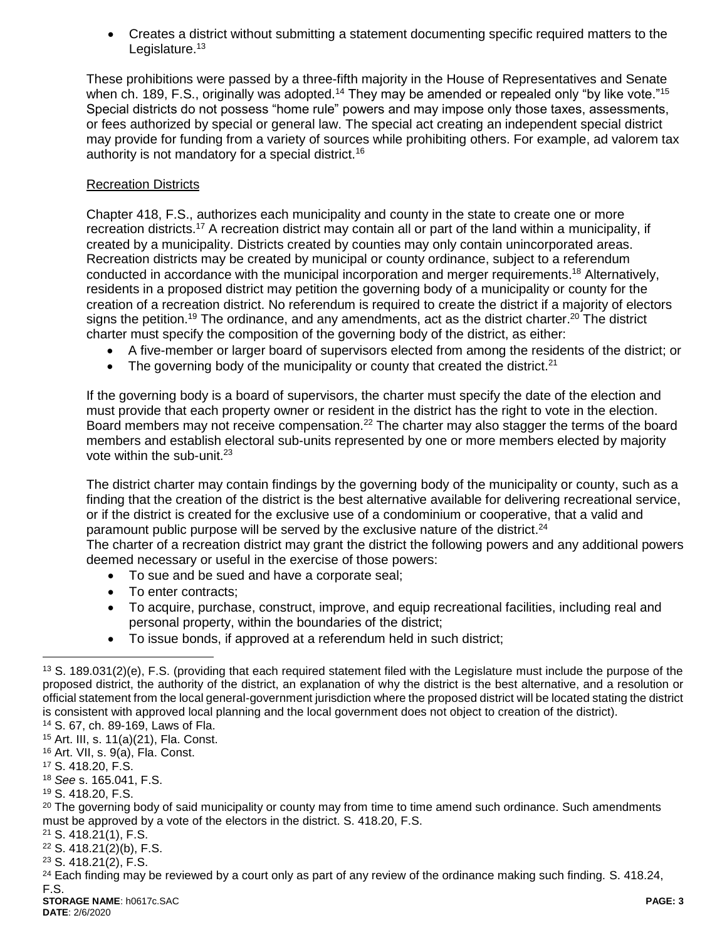Creates a district without submitting a statement documenting specific required matters to the Legislature. $13$ 

These prohibitions were passed by a three-fifth majority in the House of Representatives and Senate when ch. 189, F.S., originally was adopted.<sup>14</sup> They may be amended or repealed only "by like vote."<sup>15</sup> Special districts do not possess "home rule" powers and may impose only those taxes, assessments, or fees authorized by special or general law. The special act creating an independent special district may provide for funding from a variety of sources while prohibiting others. For example, ad valorem tax authority is not mandatory for a special district.<sup>16</sup>

## Recreation Districts

Chapter 418, F.S., authorizes each municipality and county in the state to create one or more recreation districts.<sup>17</sup> A recreation district may contain all or part of the land within a municipality, if created by a municipality. Districts created by counties may only contain unincorporated areas. Recreation districts may be created by municipal or county ordinance, subject to a referendum conducted in accordance with the municipal incorporation and merger requirements. <sup>18</sup> Alternatively, residents in a proposed district may petition the governing body of a municipality or county for the creation of a recreation district. No referendum is required to create the district if a majority of electors signs the petition.<sup>19</sup> The ordinance, and any amendments, act as the district charter.<sup>20</sup> The district charter must specify the composition of the governing body of the district, as either:

- A five-member or larger board of supervisors elected from among the residents of the district; or
- The governing body of the municipality or county that created the district. $21$

If the governing body is a board of supervisors, the charter must specify the date of the election and must provide that each property owner or resident in the district has the right to vote in the election. Board members may not receive compensation.<sup>22</sup> The charter may also stagger the terms of the board members and establish electoral sub-units represented by one or more members elected by majority vote within the sub-unit.<sup>23</sup>

The district charter may contain findings by the governing body of the municipality or county, such as a finding that the creation of the district is the best alternative available for delivering recreational service, or if the district is created for the exclusive use of a condominium or cooperative, that a valid and paramount public purpose will be served by the exclusive nature of the district.<sup>24</sup>

The charter of a recreation district may grant the district the following powers and any additional powers deemed necessary or useful in the exercise of those powers:

- To sue and be sued and have a corporate seal:
- To enter contracts;
- To acquire, purchase, construct, improve, and equip recreational facilities, including real and personal property, within the boundaries of the district;
- To issue bonds, if approved at a referendum held in such district;

<sup>16</sup> Art. VII, s. 9(a), Fla. Const.

 $\overline{a}$ 

<sup>19</sup> S. 418.20, F.S.

<sup>21</sup> S. 418.21(1), F.S.

<sup>22</sup> S. 418.21(2)(b), F.S.

<sup>23</sup> S. 418.21(2), F.S.

 $13$  S. 189.031(2)(e), F.S. (providing that each required statement filed with the Legislature must include the purpose of the proposed district, the authority of the district, an explanation of why the district is the best alternative, and a resolution or official statement from the local general-government jurisdiction where the proposed district will be located stating the district is consistent with approved local planning and the local government does not object to creation of the district).

<sup>14</sup> S. 67, ch. 89-169, Laws of Fla. <sup>15</sup> Art. III, s. 11(a)(21), Fla. Const.

<sup>17</sup> S. 418.20, F.S.

<sup>18</sup> *See* s. 165.041, F.S.

<sup>&</sup>lt;sup>20</sup> The governing body of said municipality or county may from time to time amend such ordinance. Such amendments must be approved by a vote of the electors in the district. S. 418.20, F.S.

 $24$  Each finding may be reviewed by a court only as part of any review of the ordinance making such finding. S. 418.24, F.S.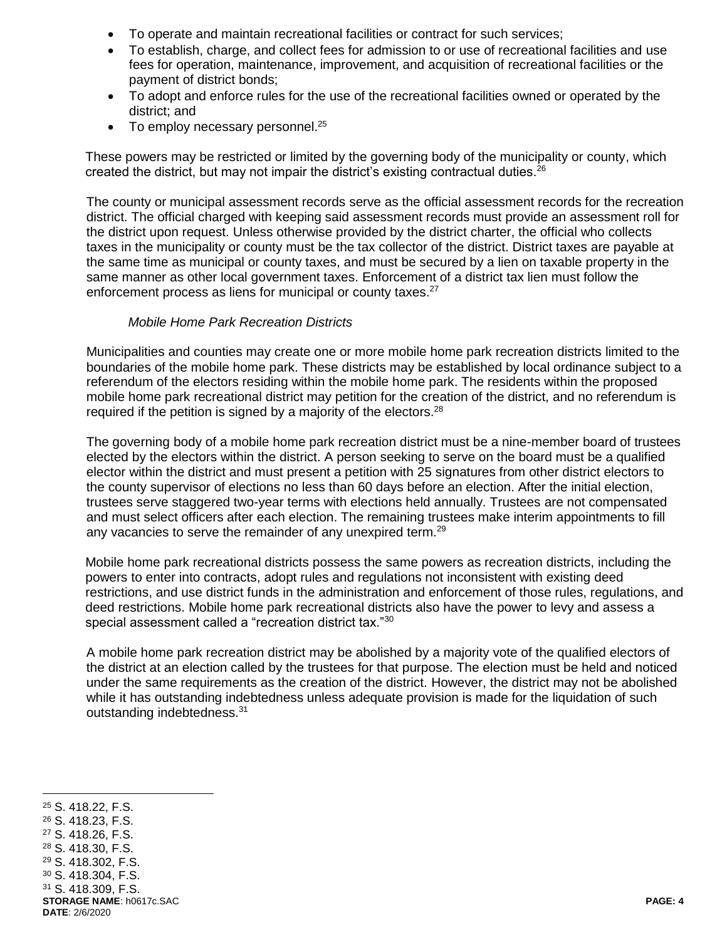- To operate and maintain recreational facilities or contract for such services;
- To establish, charge, and collect fees for admission to or use of recreational facilities and use fees for operation, maintenance, improvement, and acquisition of recreational facilities or the payment of district bonds;
- To adopt and enforce rules for the use of the recreational facilities owned or operated by the district; and
- $\bullet$  To employ necessary personnel.<sup>25</sup>

These powers may be restricted or limited by the governing body of the municipality or county, which created the district, but may not impair the district's existing contractual duties.  $26$ 

The county or municipal assessment records serve as the official assessment records for the recreation district. The official charged with keeping said assessment records must provide an assessment roll for the district upon request. Unless otherwise provided by the district charter, the official who collects taxes in the municipality or county must be the tax collector of the district. District taxes are payable at the same time as municipal or county taxes, and must be secured by a lien on taxable property in the same manner as other local government taxes. Enforcement of a district tax lien must follow the enforcement process as liens for municipal or county taxes.<sup>27</sup>

#### *Mobile Home Park Recreation Districts*

Municipalities and counties may create one or more mobile home park recreation districts limited to the boundaries of the mobile home park. These districts may be established by local ordinance subject to a referendum of the electors residing within the mobile home park. The residents within the proposed mobile home park recreational district may petition for the creation of the district, and no referendum is required if the petition is signed by a majority of the electors.<sup>28</sup>

The governing body of a mobile home park recreation district must be a nine-member board of trustees elected by the electors within the district. A person seeking to serve on the board must be a qualified elector within the district and must present a petition with 25 signatures from other district electors to the county supervisor of elections no less than 60 days before an election. After the initial election, trustees serve staggered two-year terms with elections held annually. Trustees are not compensated and must select officers after each election. The remaining trustees make interim appointments to fill any vacancies to serve the remainder of any unexpired term.<sup>29</sup>

Mobile home park recreational districts possess the same powers as recreation districts, including the powers to enter into contracts, adopt rules and regulations not inconsistent with existing deed restrictions, and use district funds in the administration and enforcement of those rules, regulations, and deed restrictions. Mobile home park recreational districts also have the power to levy and assess a special assessment called a "recreation district tax."<sup>30</sup>

A mobile home park recreation district may be abolished by a majority vote of the qualified electors of the district at an election called by the trustees for that purpose. The election must be held and noticed under the same requirements as the creation of the district. However, the district may not be abolished while it has outstanding indebtedness unless adequate provision is made for the liquidation of such outstanding indebtedness.<sup>31</sup>

**STORAGE NAME**: h0617c.SAC **PAGE: 4 DATE**: 2/6/2020  $\overline{a}$  S. 418.22, F.S. S. 418.23, F.S. S. 418.26, F.S. S. 418.30, F.S. S. 418.302, F.S. S. 418.304, F.S. S. 418.309, F.S.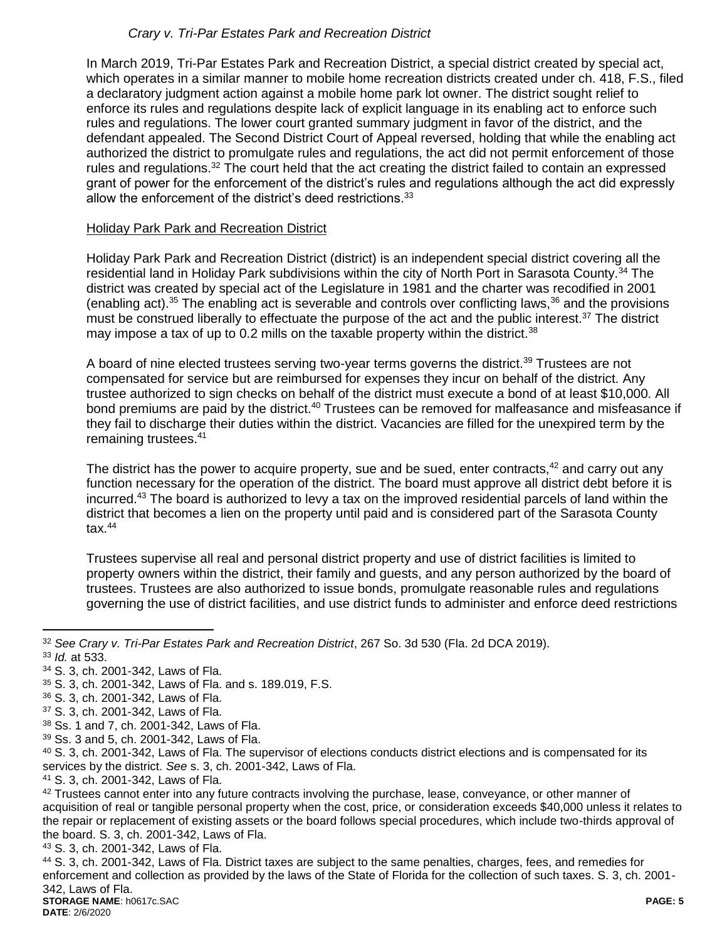# *Crary v. Tri-Par Estates Park and Recreation District*

In March 2019, Tri-Par Estates Park and Recreation District, a special district created by special act, which operates in a similar manner to mobile home recreation districts created under ch. 418, F.S., filed a declaratory judgment action against a mobile home park lot owner. The district sought relief to enforce its rules and regulations despite lack of explicit language in its enabling act to enforce such rules and regulations. The lower court granted summary judgment in favor of the district, and the defendant appealed. The Second District Court of Appeal reversed, holding that while the enabling act authorized the district to promulgate rules and regulations, the act did not permit enforcement of those rules and regulations.<sup>32</sup> The court held that the act creating the district failed to contain an expressed grant of power for the enforcement of the district's rules and regulations although the act did expressly allow the enforcement of the district's deed restrictions.<sup>33</sup>

## Holiday Park Park and Recreation District

Holiday Park Park and Recreation District (district) is an independent special district covering all the residential land in Holiday Park subdivisions within the city of North Port in Sarasota County.<sup>34</sup> The district was created by special act of the Legislature in 1981 and the charter was recodified in 2001 (enabling act).<sup>35</sup> The enabling act is severable and controls over conflicting laws,<sup>36</sup> and the provisions must be construed liberally to effectuate the purpose of the act and the public interest.<sup>37</sup> The district may impose a tax of up to 0.2 mills on the taxable property within the district.<sup>38</sup>

A board of nine elected trustees serving two-year terms governs the district.<sup>39</sup> Trustees are not compensated for service but are reimbursed for expenses they incur on behalf of the district. Any trustee authorized to sign checks on behalf of the district must execute a bond of at least \$10,000. All bond premiums are paid by the district.<sup>40</sup> Trustees can be removed for malfeasance and misfeasance if they fail to discharge their duties within the district. Vacancies are filled for the unexpired term by the remaining trustees.<sup>41</sup>

The district has the power to acquire property, sue and be sued, enter contracts,<sup>42</sup> and carry out any function necessary for the operation of the district. The board must approve all district debt before it is incurred.<sup>43</sup> The board is authorized to levy a tax on the improved residential parcels of land within the district that becomes a lien on the property until paid and is considered part of the Sarasota County tax. $44$ 

Trustees supervise all real and personal district property and use of district facilities is limited to property owners within the district, their family and guests, and any person authorized by the board of trustees. Trustees are also authorized to issue bonds, promulgate reasonable rules and regulations governing the use of district facilities, and use district funds to administer and enforce deed restrictions

- <sup>34</sup> S. 3, ch. 2001-342, Laws of Fla.
- <sup>35</sup> S. 3, ch. 2001-342, Laws of Fla. and s. 189.019, F.S.

- <sup>37</sup> S. 3, ch. 2001-342, Laws of Fla.
- <sup>38</sup> Ss. 1 and 7, ch. 2001-342, Laws of Fla.
- <sup>39</sup> Ss. 3 and 5, ch. 2001-342, Laws of Fla.

<sup>40</sup> S. 3, ch. 2001-342, Laws of Fla. The supervisor of elections conducts district elections and is compensated for its services by the district. *See* s. 3, ch. 2001-342, Laws of Fla.

<sup>41</sup> S. 3, ch. 2001-342, Laws of Fla.

<sup>43</sup> S. 3, ch. 2001-342, Laws of Fla.

<sup>44</sup> S. 3, ch. 2001-342, Laws of Fla. District taxes are subject to the same penalties, charges, fees, and remedies for enforcement and collection as provided by the laws of the State of Florida for the collection of such taxes. S. 3, ch. 2001- 342, Laws of Fla.

 $\overline{a}$ <sup>32</sup> *See Crary v. Tri-Par Estates Park and Recreation District*, 267 So. 3d 530 (Fla. 2d DCA 2019). <sup>33</sup> *Id.* at 533.

<sup>36</sup> S. 3, ch. 2001-342, Laws of Fla.

<sup>42</sup> Trustees cannot enter into any future contracts involving the purchase, lease, conveyance, or other manner of acquisition of real or tangible personal property when the cost, price, or consideration exceeds \$40,000 unless it relates to the repair or replacement of existing assets or the board follows special procedures, which include two-thirds approval of the board. S. 3, ch. 2001-342, Laws of Fla.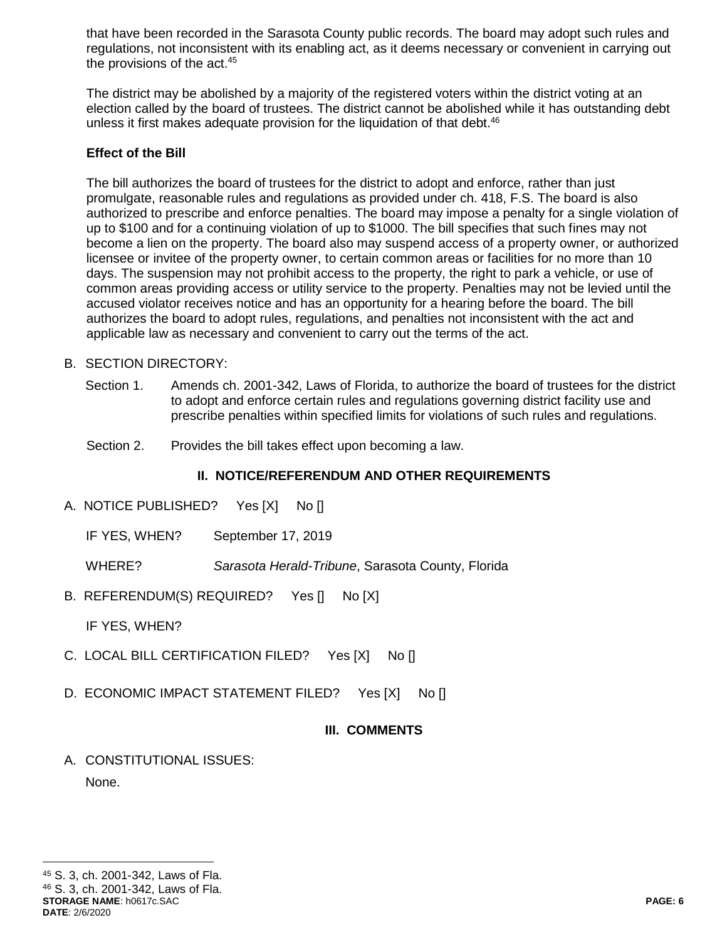that have been recorded in the Sarasota County public records. The board may adopt such rules and regulations, not inconsistent with its enabling act, as it deems necessary or convenient in carrying out the provisions of the act.<sup>45</sup>

The district may be abolished by a majority of the registered voters within the district voting at an election called by the board of trustees. The district cannot be abolished while it has outstanding debt unless it first makes adequate provision for the liquidation of that debt.<sup>46</sup>

### **Effect of the Bill**

The bill authorizes the board of trustees for the district to adopt and enforce, rather than just promulgate, reasonable rules and regulations as provided under ch. 418, F.S. The board is also authorized to prescribe and enforce penalties. The board may impose a penalty for a single violation of up to \$100 and for a continuing violation of up to \$1000. The bill specifies that such fines may not become a lien on the property. The board also may suspend access of a property owner, or authorized licensee or invitee of the property owner, to certain common areas or facilities for no more than 10 days. The suspension may not prohibit access to the property, the right to park a vehicle, or use of common areas providing access or utility service to the property. Penalties may not be levied until the accused violator receives notice and has an opportunity for a hearing before the board. The bill authorizes the board to adopt rules, regulations, and penalties not inconsistent with the act and applicable law as necessary and convenient to carry out the terms of the act.

#### B. SECTION DIRECTORY:

- Section 1. Amends ch. 2001-342, Laws of Florida, to authorize the board of trustees for the district to adopt and enforce certain rules and regulations governing district facility use and prescribe penalties within specified limits for violations of such rules and regulations.
- Section 2. Provides the bill takes effect upon becoming a law.

## **II. NOTICE/REFERENDUM AND OTHER REQUIREMENTS**

- A. NOTICE PUBLISHED? Yes [X] No []
	- IF YES, WHEN? September 17, 2019

WHERE? *Sarasota Herald-Tribune*, Sarasota County, Florida

B. REFERENDUM(S) REQUIRED? Yes [] No [X]

IF YES, WHEN?

- C. LOCAL BILL CERTIFICATION FILED? Yes [X] No []
- D. ECONOMIC IMPACT STATEMENT FILED? Yes [X] No []

## **III. COMMENTS**

A. CONSTITUTIONAL ISSUES: None.

 $\overline{a}$